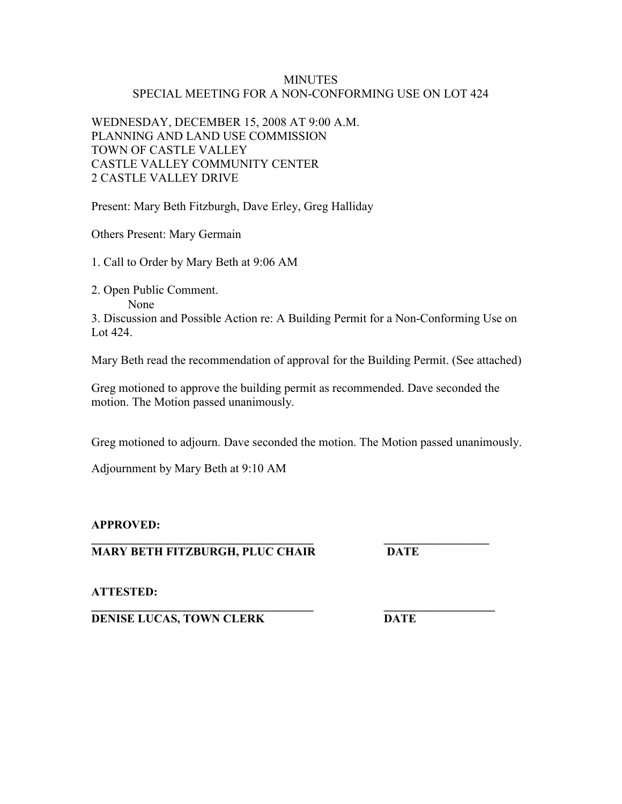## **MINUTES** SPECIAL MEETING FOR A NON-CONFORMING USE ON LOT 424

WEDNESDAY, DECEMBER 15, 2008 AT 9:00 A.M. PLANNING AND LAND USE COMMISSION TOWN OF CASTLE VALLEY CASTLE VALLEY COMMUNITY CENTER 2 CASTLE VALLEY DRIVE

Present: Mary Beth Fitzburgh, Dave Erley, Greg Halliday

Others Present: Mary Germain

1. Call to Order by Mary Beth at 9:06 AM

2. Open Public Comment.

None

3. Discussion and Possible Action re: A Building Permit for a Non-Conforming Use on Lot 424.

Mary Beth read the recommendation of approval for the Building Permit. (See attached)

Greg motioned to approve the building permit as recommended. Dave seconded the motion. The Motion passed unanimously.

Greg motioned to adjourn. Dave seconded the motion. The Motion passed unanimously.

Adjournment by Mary Beth at 9:10 AM

## **APPROVED:**

**\_\_\_\_\_\_\_\_\_\_\_\_\_\_\_\_\_\_\_\_\_\_\_\_\_\_\_\_\_\_\_\_\_\_\_\_\_\_ \_\_\_\_\_\_\_\_\_\_\_\_\_\_\_\_\_\_ MARY BETH FITZBURGH, PLUC CHAIR DATE** 

**ATTESTED:** 

**\_\_\_\_\_\_\_\_\_\_\_\_\_\_\_\_\_\_\_\_\_\_\_\_\_\_\_\_\_\_\_\_\_\_\_\_\_\_ \_\_\_\_\_\_\_\_\_\_\_\_\_\_\_\_\_\_\_ DENISE LUCAS, TOWN CLERK DATE**